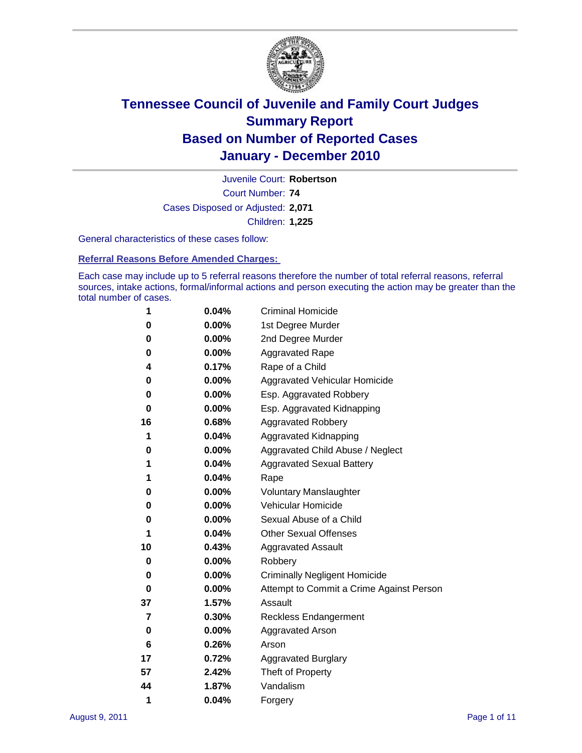

Court Number: **74** Juvenile Court: **Robertson** Cases Disposed or Adjusted: **2,071** Children: **1,225**

General characteristics of these cases follow:

**Referral Reasons Before Amended Charges:** 

Each case may include up to 5 referral reasons therefore the number of total referral reasons, referral sources, intake actions, formal/informal actions and person executing the action may be greater than the total number of cases.

| 1  | 0.04% | <b>Criminal Homicide</b>                 |  |  |
|----|-------|------------------------------------------|--|--|
| 0  | 0.00% | 1st Degree Murder                        |  |  |
| 0  | 0.00% | 2nd Degree Murder                        |  |  |
| 0  | 0.00% | <b>Aggravated Rape</b>                   |  |  |
| 4  | 0.17% | Rape of a Child                          |  |  |
| 0  | 0.00% | Aggravated Vehicular Homicide            |  |  |
| 0  | 0.00% | Esp. Aggravated Robbery                  |  |  |
| 0  | 0.00% | Esp. Aggravated Kidnapping               |  |  |
| 16 | 0.68% | <b>Aggravated Robbery</b>                |  |  |
| 1  | 0.04% | Aggravated Kidnapping                    |  |  |
| 0  | 0.00% | Aggravated Child Abuse / Neglect         |  |  |
| 1  | 0.04% | <b>Aggravated Sexual Battery</b>         |  |  |
| 1  | 0.04% | Rape                                     |  |  |
| 0  | 0.00% | <b>Voluntary Manslaughter</b>            |  |  |
| 0  | 0.00% | Vehicular Homicide                       |  |  |
| 0  | 0.00% | Sexual Abuse of a Child                  |  |  |
| 1  | 0.04% | <b>Other Sexual Offenses</b>             |  |  |
| 10 | 0.43% | <b>Aggravated Assault</b>                |  |  |
| 0  | 0.00% | Robbery                                  |  |  |
| 0  | 0.00% | <b>Criminally Negligent Homicide</b>     |  |  |
| 0  | 0.00% | Attempt to Commit a Crime Against Person |  |  |
| 37 | 1.57% | Assault                                  |  |  |
| 7  | 0.30% | <b>Reckless Endangerment</b>             |  |  |
| 0  | 0.00% | <b>Aggravated Arson</b>                  |  |  |
| 6  | 0.26% | Arson                                    |  |  |
| 17 | 0.72% | <b>Aggravated Burglary</b>               |  |  |
| 57 | 2.42% | Theft of Property                        |  |  |
| 44 | 1.87% | Vandalism                                |  |  |
| 1  | 0.04% | Forgery                                  |  |  |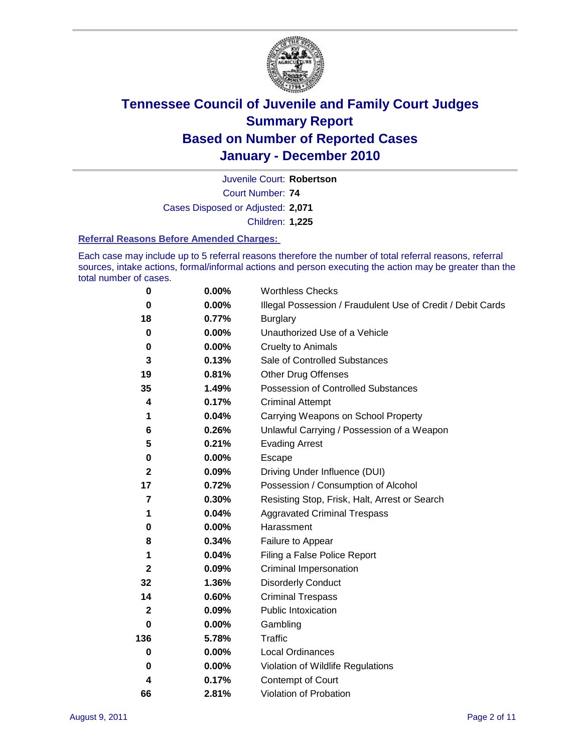

Court Number: **74** Juvenile Court: **Robertson** Cases Disposed or Adjusted: **2,071** Children: **1,225**

#### **Referral Reasons Before Amended Charges:**

Each case may include up to 5 referral reasons therefore the number of total referral reasons, referral sources, intake actions, formal/informal actions and person executing the action may be greater than the total number of cases.

| $\pmb{0}$    | 0.00%    | <b>Worthless Checks</b>                                     |  |  |
|--------------|----------|-------------------------------------------------------------|--|--|
| 0            | 0.00%    | Illegal Possession / Fraudulent Use of Credit / Debit Cards |  |  |
| 18           | 0.77%    | <b>Burglary</b>                                             |  |  |
| $\bf{0}$     | 0.00%    | Unauthorized Use of a Vehicle                               |  |  |
| 0            | $0.00\%$ | <b>Cruelty to Animals</b>                                   |  |  |
| 3            | 0.13%    | Sale of Controlled Substances                               |  |  |
| 19           | 0.81%    | <b>Other Drug Offenses</b>                                  |  |  |
| 35           | 1.49%    | Possession of Controlled Substances                         |  |  |
| 4            | 0.17%    | <b>Criminal Attempt</b>                                     |  |  |
| 1            | 0.04%    | Carrying Weapons on School Property                         |  |  |
| 6            | 0.26%    | Unlawful Carrying / Possession of a Weapon                  |  |  |
| 5            | 0.21%    | <b>Evading Arrest</b>                                       |  |  |
| 0            | 0.00%    | Escape                                                      |  |  |
| $\mathbf{2}$ | 0.09%    | Driving Under Influence (DUI)                               |  |  |
| 17           | 0.72%    | Possession / Consumption of Alcohol                         |  |  |
| 7            | 0.30%    | Resisting Stop, Frisk, Halt, Arrest or Search               |  |  |
| 1            | 0.04%    | <b>Aggravated Criminal Trespass</b>                         |  |  |
| 0            | $0.00\%$ | Harassment                                                  |  |  |
| 8            | 0.34%    | Failure to Appear                                           |  |  |
| 1            | 0.04%    | Filing a False Police Report                                |  |  |
| $\mathbf{2}$ | 0.09%    | Criminal Impersonation                                      |  |  |
| 32           | 1.36%    | <b>Disorderly Conduct</b>                                   |  |  |
| 14           | 0.60%    | <b>Criminal Trespass</b>                                    |  |  |
| 2            | 0.09%    | <b>Public Intoxication</b>                                  |  |  |
| 0            | $0.00\%$ | Gambling                                                    |  |  |
| 136          | 5.78%    | <b>Traffic</b>                                              |  |  |
| 0            | $0.00\%$ | Local Ordinances                                            |  |  |
| 0            | $0.00\%$ | Violation of Wildlife Regulations                           |  |  |
| 4            | 0.17%    | Contempt of Court                                           |  |  |
| 66           | 2.81%    | Violation of Probation                                      |  |  |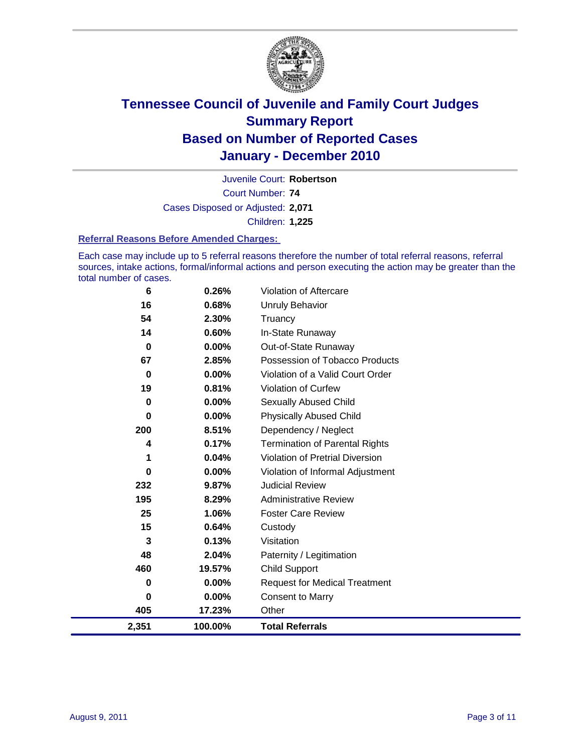

Court Number: **74** Juvenile Court: **Robertson** Cases Disposed or Adjusted: **2,071** Children: **1,225**

#### **Referral Reasons Before Amended Charges:**

Each case may include up to 5 referral reasons therefore the number of total referral reasons, referral sources, intake actions, formal/informal actions and person executing the action may be greater than the total number of cases.

| 6        | 0.26%   | Violation of Aftercare                 |
|----------|---------|----------------------------------------|
| 16       | 0.68%   | <b>Unruly Behavior</b>                 |
| 54       | 2.30%   | Truancy                                |
| 14       | 0.60%   | In-State Runaway                       |
| 0        | 0.00%   | Out-of-State Runaway                   |
| 67       | 2.85%   | Possession of Tobacco Products         |
| 0        | 0.00%   | Violation of a Valid Court Order       |
| 19       | 0.81%   | Violation of Curfew                    |
| 0        | 0.00%   | Sexually Abused Child                  |
| 0        | 0.00%   | <b>Physically Abused Child</b>         |
| 200      | 8.51%   | Dependency / Neglect                   |
| 4        | 0.17%   | <b>Termination of Parental Rights</b>  |
| 1        | 0.04%   | <b>Violation of Pretrial Diversion</b> |
| $\bf{0}$ | 0.00%   | Violation of Informal Adjustment       |
| 232      | 9.87%   | <b>Judicial Review</b>                 |
| 195      | 8.29%   | <b>Administrative Review</b>           |
| 25       | 1.06%   | <b>Foster Care Review</b>              |
| 15       | 0.64%   | Custody                                |
| 3        | 0.13%   | Visitation                             |
| 48       | 2.04%   | Paternity / Legitimation               |
| 460      | 19.57%  | <b>Child Support</b>                   |
| 0        | 0.00%   | <b>Request for Medical Treatment</b>   |
| 0        | 0.00%   | <b>Consent to Marry</b>                |
| 405      | 17.23%  | Other                                  |
| 2,351    | 100.00% | <b>Total Referrals</b>                 |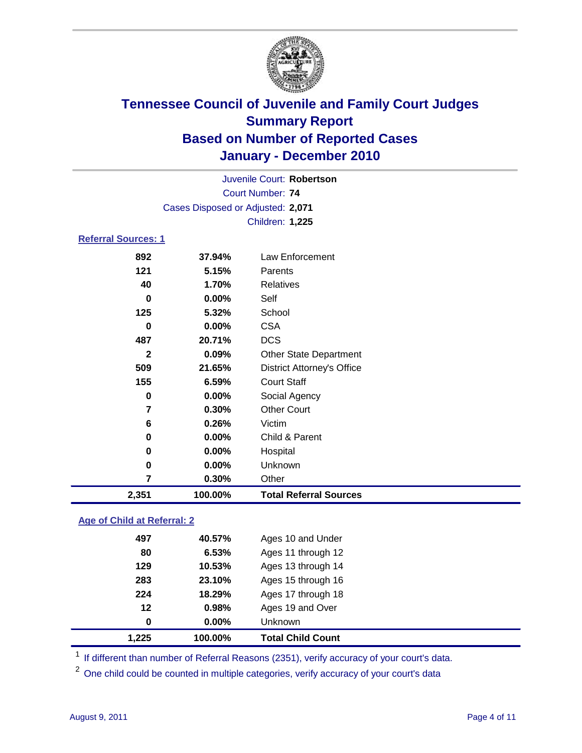

| Juvenile Court: Robertson  |                                   |                                   |  |  |
|----------------------------|-----------------------------------|-----------------------------------|--|--|
|                            | Court Number: 74                  |                                   |  |  |
|                            | Cases Disposed or Adjusted: 2,071 |                                   |  |  |
|                            |                                   | Children: 1,225                   |  |  |
| <b>Referral Sources: 1</b> |                                   |                                   |  |  |
| 892                        | 37.94%                            | <b>Law Enforcement</b>            |  |  |
| 121                        | 5.15%                             | Parents                           |  |  |
| 40                         | 1.70%                             | Relatives                         |  |  |
| $\bf{0}$                   | $0.00\%$                          | Self                              |  |  |
| 125                        | 5.32%                             | School                            |  |  |
| 0                          | 0.00%                             | <b>CSA</b>                        |  |  |
| 487                        | 20.71%                            | <b>DCS</b>                        |  |  |
| $\mathbf{2}$               | 0.09%                             | <b>Other State Department</b>     |  |  |
| 509                        | 21.65%                            | <b>District Attorney's Office</b> |  |  |
| 155                        | 6.59%                             | <b>Court Staff</b>                |  |  |
| 0                          | 0.00%                             | Social Agency                     |  |  |
| 7                          | 0.30%                             | <b>Other Court</b>                |  |  |
| 6                          | 0.26%                             | Victim                            |  |  |
| 0                          | 0.00%                             | Child & Parent                    |  |  |
| 0                          | 0.00%                             | Hospital                          |  |  |
| 0                          | 0.00%                             | Unknown                           |  |  |
| 7                          | 0.30%                             | Other                             |  |  |
| 2,351                      | 100.00%                           | <b>Total Referral Sources</b>     |  |  |

### **Age of Child at Referral: 2**

| 1,225 | 100.00% | <b>Total Child Count</b> |
|-------|---------|--------------------------|
| 0     | 0.00%   | <b>Unknown</b>           |
| 12    | 0.98%   | Ages 19 and Over         |
| 224   | 18.29%  | Ages 17 through 18       |
| 283   | 23.10%  | Ages 15 through 16       |
| 129   | 10.53%  | Ages 13 through 14       |
| 80    | 6.53%   | Ages 11 through 12       |
| 497   | 40.57%  | Ages 10 and Under        |
|       |         |                          |

<sup>1</sup> If different than number of Referral Reasons (2351), verify accuracy of your court's data.

<sup>2</sup> One child could be counted in multiple categories, verify accuracy of your court's data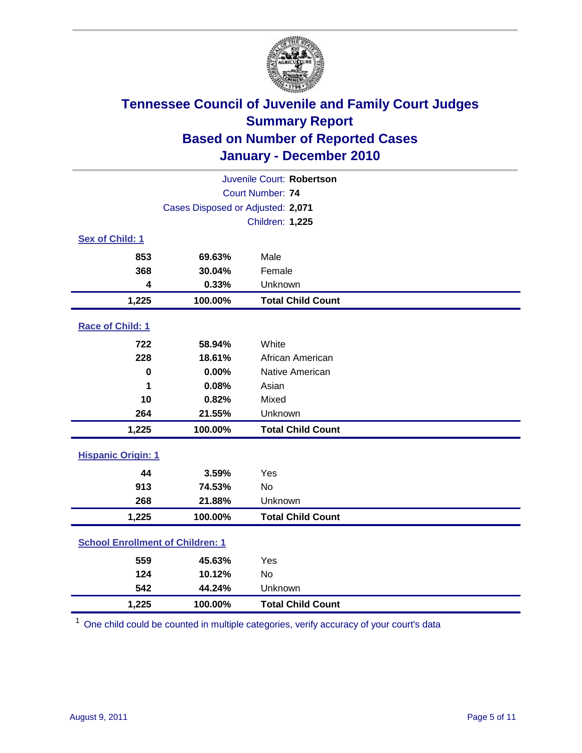

| Juvenile Court: Robertson               |                                   |                          |  |
|-----------------------------------------|-----------------------------------|--------------------------|--|
|                                         | <b>Court Number: 74</b>           |                          |  |
|                                         | Cases Disposed or Adjusted: 2,071 |                          |  |
|                                         |                                   | <b>Children: 1,225</b>   |  |
| Sex of Child: 1                         |                                   |                          |  |
| 853                                     | 69.63%                            | Male                     |  |
| 368                                     | 30.04%                            | Female                   |  |
| 4                                       | 0.33%                             | Unknown                  |  |
| 1,225                                   | 100.00%                           | <b>Total Child Count</b> |  |
| Race of Child: 1                        |                                   |                          |  |
| 722                                     | 58.94%                            | White                    |  |
| 228                                     | 18.61%                            | African American         |  |
| 0                                       | 0.00%                             | Native American          |  |
| 1                                       | 0.08%                             | Asian                    |  |
| 10                                      | 0.82%                             | Mixed                    |  |
| 264                                     | 21.55%                            | Unknown                  |  |
| 1,225                                   | 100.00%                           | <b>Total Child Count</b> |  |
| <b>Hispanic Origin: 1</b>               |                                   |                          |  |
| 44                                      | 3.59%                             | Yes                      |  |
| 913                                     | 74.53%                            | <b>No</b>                |  |
| 268                                     | 21.88%                            | Unknown                  |  |
| 1,225                                   | 100.00%                           | <b>Total Child Count</b> |  |
| <b>School Enrollment of Children: 1</b> |                                   |                          |  |
| 559                                     | 45.63%                            | Yes                      |  |
| 124                                     | 10.12%                            | No                       |  |
| 542                                     | 44.24%                            | Unknown                  |  |
| 1,225                                   | 100.00%                           | <b>Total Child Count</b> |  |

<sup>1</sup> One child could be counted in multiple categories, verify accuracy of your court's data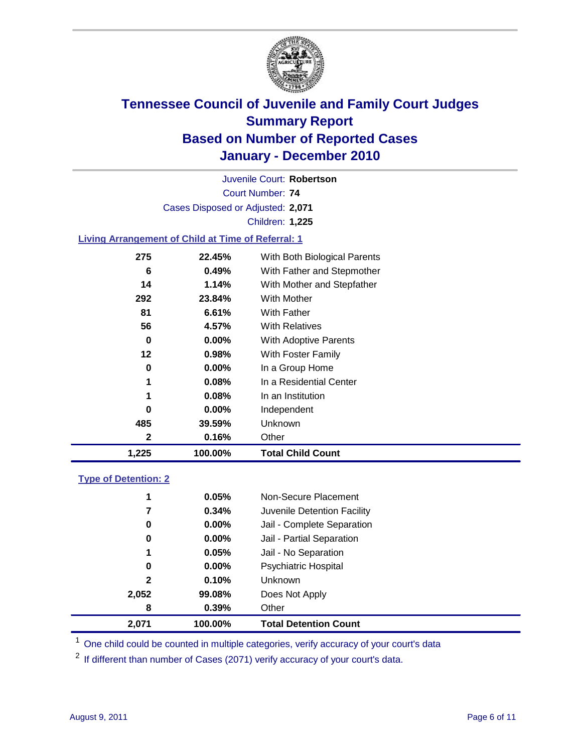

Court Number: **74** Juvenile Court: **Robertson** Cases Disposed or Adjusted: **2,071** Children: **1,225**

### **Living Arrangement of Child at Time of Referral: 1**

| 1,225 | 100.00%  | <b>Total Child Count</b>     |
|-------|----------|------------------------------|
| 2     | 0.16%    | Other                        |
| 485   | 39.59%   | Unknown                      |
| 0     | $0.00\%$ | Independent                  |
| 1     | 0.08%    | In an Institution            |
| 1     | 0.08%    | In a Residential Center      |
| 0     | $0.00\%$ | In a Group Home              |
| 12    | 0.98%    | With Foster Family           |
| 0     | $0.00\%$ | <b>With Adoptive Parents</b> |
| 56    | 4.57%    | <b>With Relatives</b>        |
| 81    | 6.61%    | With Father                  |
| 292   | 23.84%   | <b>With Mother</b>           |
| 14    | 1.14%    | With Mother and Stepfather   |
| 6     | 0.49%    | With Father and Stepmother   |
| 275   | 22.45%   | With Both Biological Parents |
|       |          |                              |

#### **Type of Detention: 2**

| 2,071        | 100.00%  | <b>Total Detention Count</b> |
|--------------|----------|------------------------------|
| 8            | 0.39%    | Other                        |
| 2,052        | 99.08%   | Does Not Apply               |
| $\mathbf{2}$ | 0.10%    | <b>Unknown</b>               |
| 0            | $0.00\%$ | Psychiatric Hospital         |
| 1            | 0.05%    | Jail - No Separation         |
| 0            | $0.00\%$ | Jail - Partial Separation    |
| 0            | 0.00%    | Jail - Complete Separation   |
| 7            | 0.34%    | Juvenile Detention Facility  |
| 1            | 0.05%    | Non-Secure Placement         |
|              |          |                              |

<sup>1</sup> One child could be counted in multiple categories, verify accuracy of your court's data

<sup>2</sup> If different than number of Cases (2071) verify accuracy of your court's data.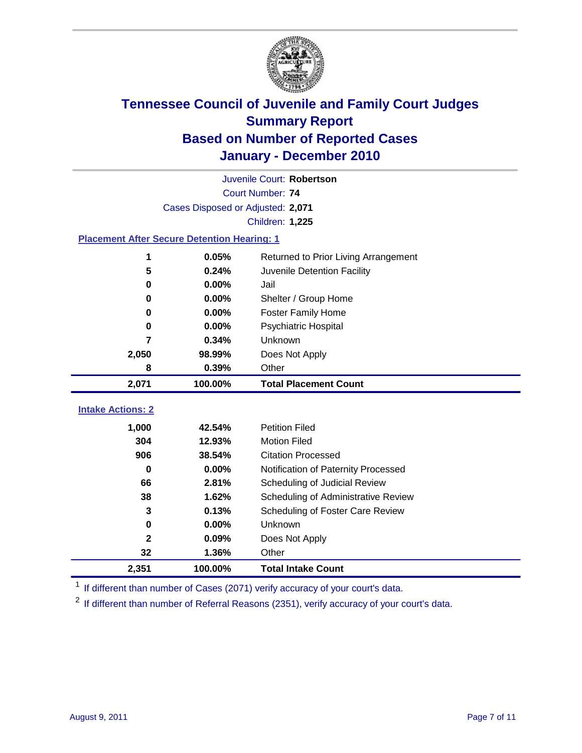

| Juvenile Court: Robertson                          |                                   |                                      |  |  |  |
|----------------------------------------------------|-----------------------------------|--------------------------------------|--|--|--|
|                                                    | Court Number: 74                  |                                      |  |  |  |
|                                                    | Cases Disposed or Adjusted: 2,071 |                                      |  |  |  |
|                                                    |                                   | Children: 1,225                      |  |  |  |
| <b>Placement After Secure Detention Hearing: 1</b> |                                   |                                      |  |  |  |
| 1                                                  | 0.05%                             | Returned to Prior Living Arrangement |  |  |  |
| 5                                                  | 0.24%                             | Juvenile Detention Facility          |  |  |  |
| 0                                                  | 0.00%                             | Jail                                 |  |  |  |
| 0                                                  | 0.00%                             | Shelter / Group Home                 |  |  |  |
| 0                                                  | 0.00%                             | <b>Foster Family Home</b>            |  |  |  |
| 0                                                  | 0.00%                             | Psychiatric Hospital                 |  |  |  |
| 7                                                  | 0.34%                             | Unknown                              |  |  |  |
| 2,050                                              | 98.99%                            | Does Not Apply                       |  |  |  |
| 8                                                  | 0.39%                             | Other                                |  |  |  |
| 2,071                                              | 100.00%                           | <b>Total Placement Count</b>         |  |  |  |
| <b>Intake Actions: 2</b>                           |                                   |                                      |  |  |  |
|                                                    |                                   |                                      |  |  |  |
| 1,000                                              | 42.54%                            | <b>Petition Filed</b>                |  |  |  |
| 304                                                | 12.93%                            | <b>Motion Filed</b>                  |  |  |  |
| 906                                                | 38.54%                            | <b>Citation Processed</b>            |  |  |  |
| $\bf{0}$                                           | 0.00%                             | Notification of Paternity Processed  |  |  |  |
| 66                                                 | 2.81%                             | Scheduling of Judicial Review        |  |  |  |
| 38                                                 | 1.62%                             | Scheduling of Administrative Review  |  |  |  |
| 3                                                  | 0.13%                             | Scheduling of Foster Care Review     |  |  |  |
| $\mathbf 0$                                        | 0.00%                             | Unknown                              |  |  |  |
| $\mathbf{2}$                                       | 0.09%                             | Does Not Apply                       |  |  |  |
| 32                                                 | 1.36%                             | Other                                |  |  |  |
| 2,351                                              | 100.00%                           | <b>Total Intake Count</b>            |  |  |  |

<sup>1</sup> If different than number of Cases (2071) verify accuracy of your court's data.

<sup>2</sup> If different than number of Referral Reasons (2351), verify accuracy of your court's data.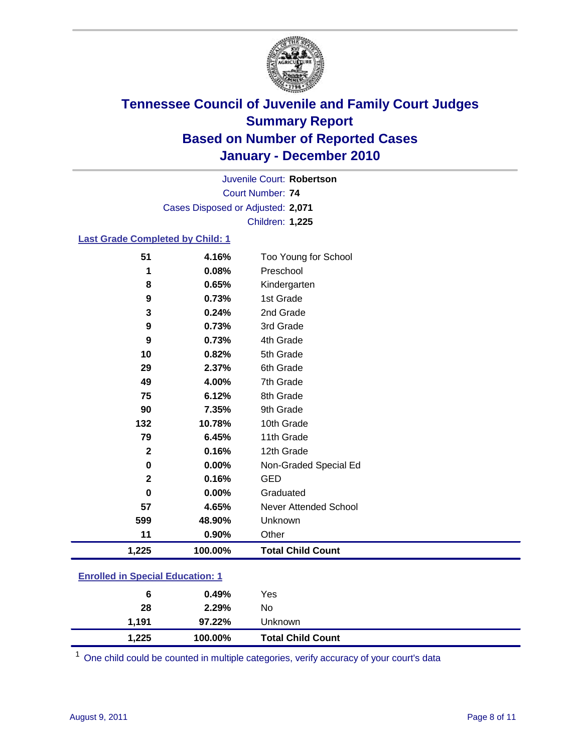

Court Number: **74** Juvenile Court: **Robertson** Cases Disposed or Adjusted: **2,071** Children: **1,225**

#### **Last Grade Completed by Child: 1**

| 51                                      | 4.16%   | Too Young for School     |  |
|-----------------------------------------|---------|--------------------------|--|
| 1                                       | 0.08%   | Preschool                |  |
| 8                                       | 0.65%   | Kindergarten             |  |
| 9                                       | 0.73%   | 1st Grade                |  |
| 3                                       | 0.24%   | 2nd Grade                |  |
| 9                                       | 0.73%   | 3rd Grade                |  |
| 9                                       | 0.73%   | 4th Grade                |  |
| 10                                      | 0.82%   | 5th Grade                |  |
| 29                                      | 2.37%   | 6th Grade                |  |
| 49                                      | 4.00%   | 7th Grade                |  |
| 75                                      | 6.12%   | 8th Grade                |  |
| 90                                      | 7.35%   | 9th Grade                |  |
| 132                                     | 10.78%  | 10th Grade               |  |
| 79                                      | 6.45%   | 11th Grade               |  |
| $\overline{2}$                          | 0.16%   | 12th Grade               |  |
| $\bf{0}$                                | 0.00%   | Non-Graded Special Ed    |  |
| $\mathbf{2}$                            | 0.16%   | <b>GED</b>               |  |
| 0                                       | 0.00%   | Graduated                |  |
| 57                                      | 4.65%   | Never Attended School    |  |
| 599                                     | 48.90%  | Unknown                  |  |
| 11                                      | 0.90%   | Other                    |  |
| 1,225                                   | 100.00% | <b>Total Child Count</b> |  |
| <b>Enrolled in Special Education: 1</b> |         |                          |  |

| 1.191 | 97.22% | Unknown |                                              |
|-------|--------|---------|----------------------------------------------|
| 28    | 2.29%  | No.     |                                              |
| 6     | 0.49%  | Yes     |                                              |
|       |        |         | 1,225<br>100.00%<br><b>Total Child Count</b> |

One child could be counted in multiple categories, verify accuracy of your court's data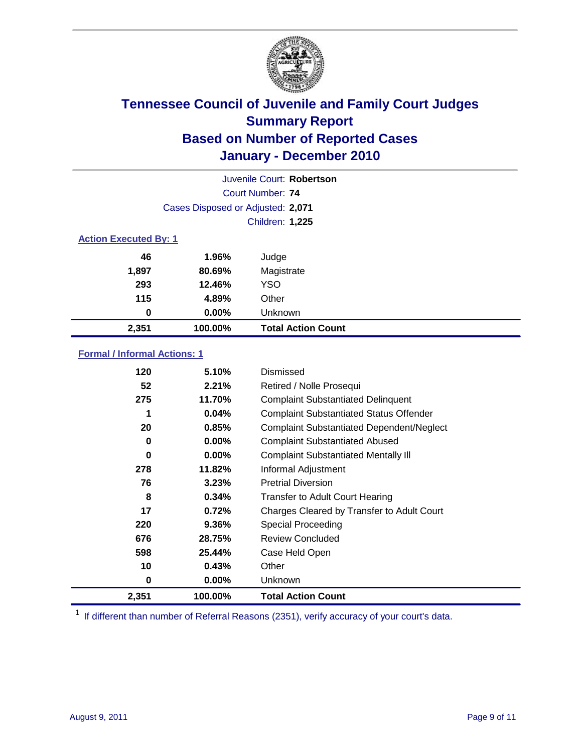

|       | Juvenile Court: Robertson         |                           |  |  |  |
|-------|-----------------------------------|---------------------------|--|--|--|
|       |                                   | Court Number: 74          |  |  |  |
|       | Cases Disposed or Adjusted: 2,071 |                           |  |  |  |
|       |                                   | Children: 1,225           |  |  |  |
|       | <b>Action Executed By: 1</b>      |                           |  |  |  |
| 46    | 1.96%                             | Judge                     |  |  |  |
| 1,897 | 80.69%                            | Magistrate                |  |  |  |
| 293   | 12.46%                            | <b>YSO</b>                |  |  |  |
| 115   | 4.89%                             | Other                     |  |  |  |
| 0     | 0.00%                             | Unknown                   |  |  |  |
| 2,351 | 100.00%                           | <b>Total Action Count</b> |  |  |  |

### **Formal / Informal Actions: 1**

| 120   | 5.10%    | Dismissed                                        |
|-------|----------|--------------------------------------------------|
| 52    | 2.21%    | Retired / Nolle Prosequi                         |
| 275   | 11.70%   | <b>Complaint Substantiated Delinquent</b>        |
|       | 0.04%    | <b>Complaint Substantiated Status Offender</b>   |
| 20    | 0.85%    | <b>Complaint Substantiated Dependent/Neglect</b> |
| 0     | 0.00%    | <b>Complaint Substantiated Abused</b>            |
| 0     | $0.00\%$ | <b>Complaint Substantiated Mentally III</b>      |
| 278   | 11.82%   | Informal Adjustment                              |
| 76    | 3.23%    | <b>Pretrial Diversion</b>                        |
| 8     | 0.34%    | <b>Transfer to Adult Court Hearing</b>           |
| 17    | 0.72%    | Charges Cleared by Transfer to Adult Court       |
| 220   | 9.36%    | <b>Special Proceeding</b>                        |
| 676   | 28.75%   | <b>Review Concluded</b>                          |
| 598   | 25.44%   | Case Held Open                                   |
| 10    | 0.43%    | Other                                            |
| 0     | $0.00\%$ | <b>Unknown</b>                                   |
| 2,351 | 100.00%  | <b>Total Action Count</b>                        |

<sup>1</sup> If different than number of Referral Reasons (2351), verify accuracy of your court's data.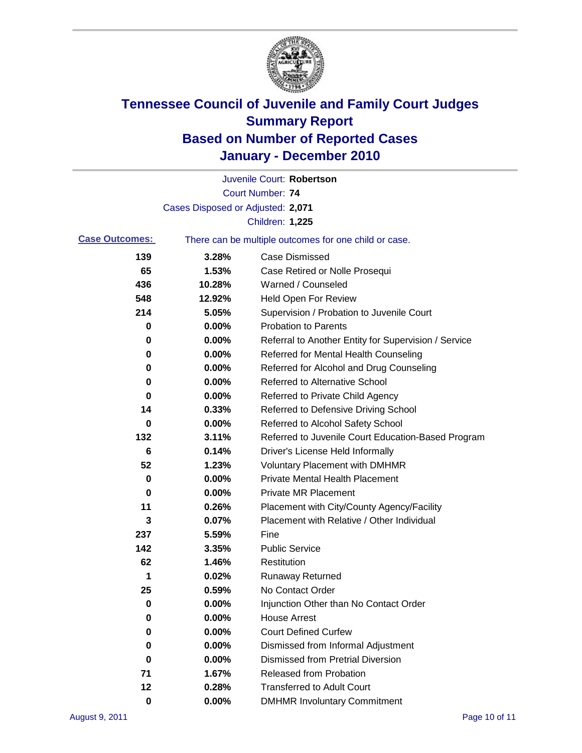

|                       |                                   | Juvenile Court: Robertson                             |
|-----------------------|-----------------------------------|-------------------------------------------------------|
|                       |                                   | <b>Court Number: 74</b>                               |
|                       | Cases Disposed or Adjusted: 2,071 |                                                       |
|                       |                                   | Children: 1,225                                       |
| <b>Case Outcomes:</b> |                                   | There can be multiple outcomes for one child or case. |
| 139                   | 3.28%                             | <b>Case Dismissed</b>                                 |
| 65                    | 1.53%                             | Case Retired or Nolle Prosequi                        |
| 436                   | 10.28%                            | Warned / Counseled                                    |
| 548                   | 12.92%                            | <b>Held Open For Review</b>                           |
| 214                   | 5.05%                             | Supervision / Probation to Juvenile Court             |
| 0                     | 0.00%                             | <b>Probation to Parents</b>                           |
| 0                     | 0.00%                             | Referral to Another Entity for Supervision / Service  |
| 0                     | 0.00%                             | Referred for Mental Health Counseling                 |
| 0                     | 0.00%                             | Referred for Alcohol and Drug Counseling              |
| 0                     | 0.00%                             | <b>Referred to Alternative School</b>                 |
| 0                     | 0.00%                             | Referred to Private Child Agency                      |
| 14                    | 0.33%                             | Referred to Defensive Driving School                  |
| 0                     | 0.00%                             | Referred to Alcohol Safety School                     |
| 132                   | 3.11%                             | Referred to Juvenile Court Education-Based Program    |
| 6                     | 0.14%                             | Driver's License Held Informally                      |
| 52                    | 1.23%                             | <b>Voluntary Placement with DMHMR</b>                 |
| 0                     | 0.00%                             | <b>Private Mental Health Placement</b>                |
| 0                     | 0.00%                             | <b>Private MR Placement</b>                           |
| 11                    | 0.26%                             | Placement with City/County Agency/Facility            |
| 3                     | 0.07%                             | Placement with Relative / Other Individual            |
| 237                   | 5.59%                             | Fine                                                  |
| 142                   | 3.35%                             | <b>Public Service</b>                                 |
| 62                    | 1.46%                             | Restitution                                           |
| 1                     | 0.02%                             | <b>Runaway Returned</b>                               |
| 25                    | 0.59%                             | No Contact Order                                      |
| 0                     | 0.00%                             | Injunction Other than No Contact Order                |
| 0                     | 0.00%                             | <b>House Arrest</b>                                   |
| 0                     | 0.00%                             | <b>Court Defined Curfew</b>                           |
| 0                     | 0.00%                             | Dismissed from Informal Adjustment                    |
| 0                     | 0.00%                             | <b>Dismissed from Pretrial Diversion</b>              |
| 71                    | 1.67%                             | <b>Released from Probation</b>                        |
| 12                    | 0.28%                             | <b>Transferred to Adult Court</b>                     |
| $\mathbf 0$           | 0.00%                             | <b>DMHMR Involuntary Commitment</b>                   |